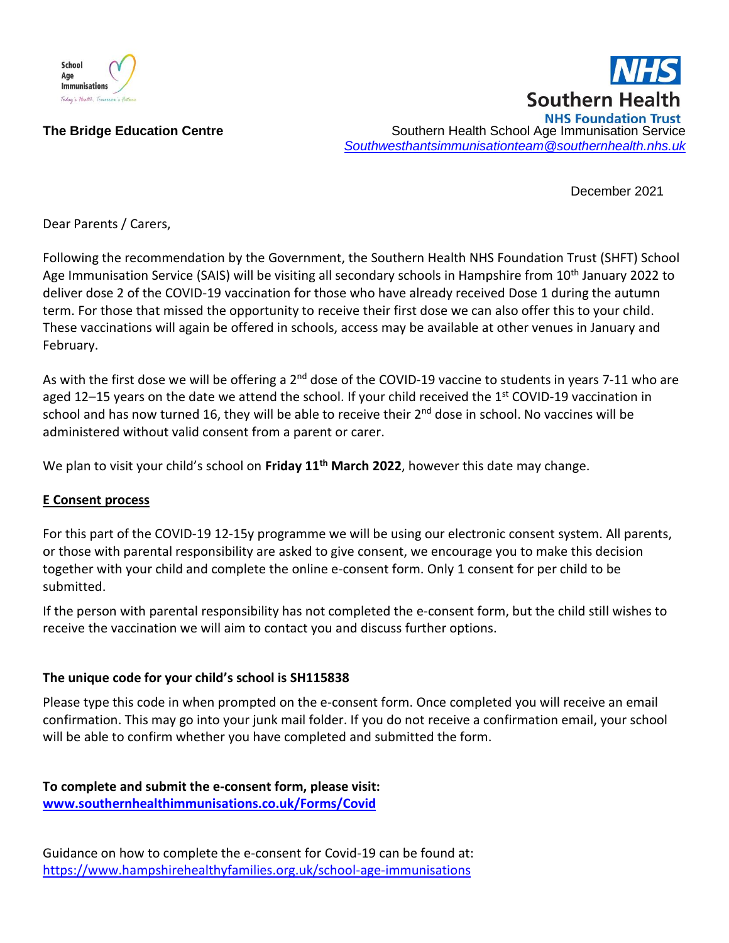

**Southern Health NHS Foundation Trust** The Bridge Education Centre **Southern Health School Age Immunisation Service** Southern Health School Age Immunisation Service *[Southwesthantsimmunisationteam@southernhealth.nhs.uk](mailto:Southwesthantsimmunisationteam@southernhealth.nhs.uk)*

December 2021

Dear Parents / Carers,

Following the recommendation by the Government, the Southern Health NHS Foundation Trust (SHFT) School Age Immunisation Service (SAIS) will be visiting all secondary schools in Hampshire from 10<sup>th</sup> January 2022 to deliver dose 2 of the COVID-19 vaccination for those who have already received Dose 1 during the autumn term. For those that missed the opportunity to receive their first dose we can also offer this to your child. These vaccinations will again be offered in schools, access may be available at other venues in January and February.

As with the first dose we will be offering a 2<sup>nd</sup> dose of the COVID-19 vaccine to students in years 7-11 who are aged 12–15 years on the date we attend the school. If your child received the 1<sup>st</sup> COVID-19 vaccination in school and has now turned 16, they will be able to receive their 2<sup>nd</sup> dose in school. No vaccines will be administered without valid consent from a parent or carer.

We plan to visit your child's school on **Friday 11th March 2022**, however this date may change.

## **E Consent process**

For this part of the COVID-19 12-15y programme we will be using our electronic consent system. All parents, or those with parental responsibility are asked to give consent, we encourage you to make this decision together with your child and complete the online e-consent form. Only 1 consent for per child to be submitted.

If the person with parental responsibility has not completed the e-consent form, but the child still wishes to receive the vaccination we will aim to contact you and discuss further options.

## **The unique code for your child's school is SH115838**

Please type this code in when prompted on the e-consent form. Once completed you will receive an email confirmation. This may go into your junk mail folder. If you do not receive a confirmation email, your school will be able to confirm whether you have completed and submitted the form.

**To complete and submit the e-consent form, please visit: [www.southernhealthimmunisations.co.uk/Forms/Covid](http://www.southernhealthimmunisations.co.uk/Forms/Covid)**

Guidance on how to complete the e-consent for Covid-19 can be found at: <https://www.hampshirehealthyfamilies.org.uk/school-age-immunisations>